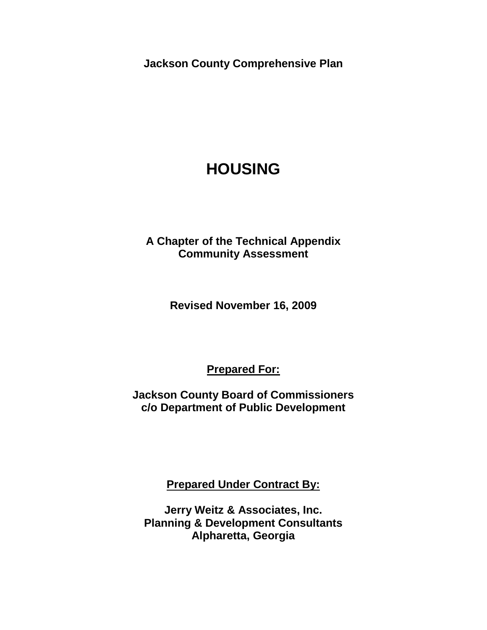**Jackson County Comprehensive Plan**

# **HOUSING**

**A Chapter of the Technical Appendix Community Assessment** 

**Revised November 16, 2009**

**Prepared For:**

**Jackson County Board of Commissioners c/o Department of Public Development**

**Prepared Under Contract By:**

**Jerry Weitz & Associates, Inc. Planning & Development Consultants Alpharetta, Georgia**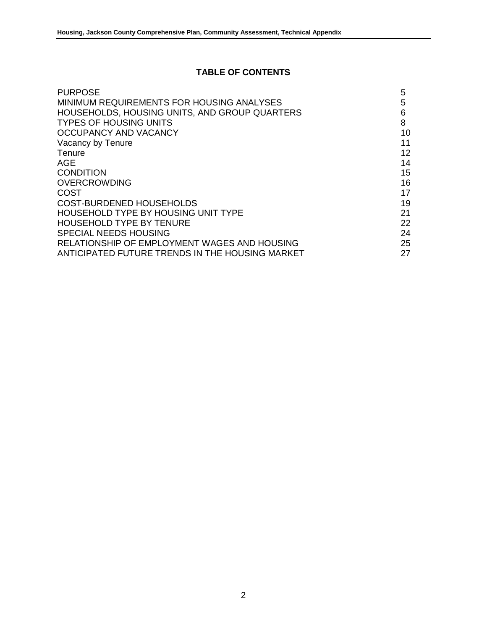## **TABLE OF CONTENTS**

| <b>PURPOSE</b>                                  | 5                 |
|-------------------------------------------------|-------------------|
| MINIMUM REQUIREMENTS FOR HOUSING ANALYSES       | 5                 |
| HOUSEHOLDS, HOUSING UNITS, AND GROUP QUARTERS   | 6                 |
| <b>TYPES OF HOUSING UNITS</b>                   | 8                 |
| OCCUPANCY AND VACANCY                           | 10                |
| Vacancy by Tenure                               | 11                |
| Tenure                                          | $12 \overline{ }$ |
| AGE                                             | 14                |
| <b>CONDITION</b>                                | 15                |
| <b>OVERCROWDING</b>                             | 16                |
| COST                                            | 17                |
| <b>COST-BURDENED HOUSEHOLDS</b>                 | 19                |
| <b>HOUSEHOLD TYPE BY HOUSING UNIT TYPE</b>      | 21                |
| <b>HOUSEHOLD TYPE BY TENURE</b>                 | 22                |
| <b>SPECIAL NEEDS HOUSING</b>                    | 24                |
| RELATIONSHIP OF EMPLOYMENT WAGES AND HOUSING    | 25                |
| ANTICIPATED FUTURE TRENDS IN THE HOUSING MARKET | 27                |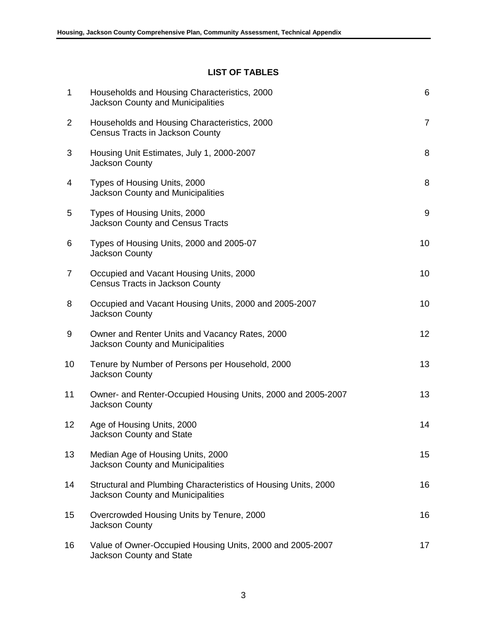# **LIST OF TABLES**

| 1               | Households and Housing Characteristics, 2000<br><b>Jackson County and Municipalities</b>                   | $\,6$          |
|-----------------|------------------------------------------------------------------------------------------------------------|----------------|
| 2               | Households and Housing Characteristics, 2000<br>Census Tracts in Jackson County                            | $\overline{7}$ |
| 3               | Housing Unit Estimates, July 1, 2000-2007<br><b>Jackson County</b>                                         | 8              |
| 4               | Types of Housing Units, 2000<br><b>Jackson County and Municipalities</b>                                   | 8              |
| 5               | Types of Housing Units, 2000<br><b>Jackson County and Census Tracts</b>                                    | 9              |
| 6               | Types of Housing Units, 2000 and 2005-07<br>Jackson County                                                 | 10             |
| $\overline{7}$  | Occupied and Vacant Housing Units, 2000<br>Census Tracts in Jackson County                                 | 10             |
| 8               | Occupied and Vacant Housing Units, 2000 and 2005-2007<br>Jackson County                                    | 10             |
| 9               | Owner and Renter Units and Vacancy Rates, 2000<br><b>Jackson County and Municipalities</b>                 | 12             |
| 10              | Tenure by Number of Persons per Household, 2000<br>Jackson County                                          | 13             |
| 11              | Owner- and Renter-Occupied Housing Units, 2000 and 2005-2007<br>Jackson County                             | 13             |
| 12 <sub>2</sub> | Age of Housing Units, 2000<br>Jackson County and State                                                     | 14             |
| 13              | Median Age of Housing Units, 2000<br><b>Jackson County and Municipalities</b>                              | 15             |
| 14              | Structural and Plumbing Characteristics of Housing Units, 2000<br><b>Jackson County and Municipalities</b> | 16             |
| 15              | Overcrowded Housing Units by Tenure, 2000<br>Jackson County                                                | 16             |
| 16              | Value of Owner-Occupied Housing Units, 2000 and 2005-2007<br>Jackson County and State                      | 17             |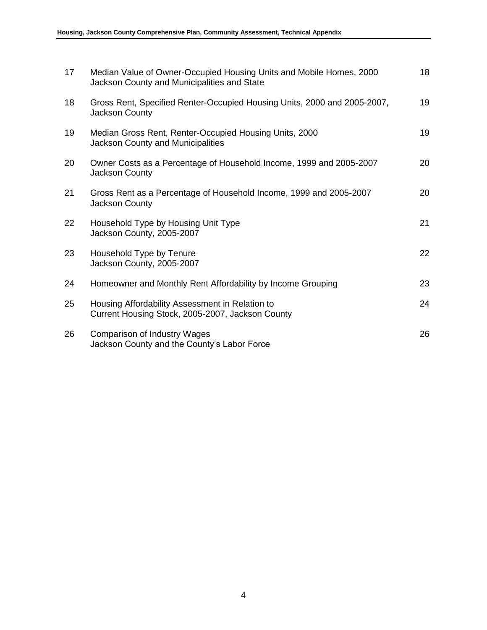| 17 | Median Value of Owner-Occupied Housing Units and Mobile Homes, 2000<br>Jackson County and Municipalities and State | 18 |
|----|--------------------------------------------------------------------------------------------------------------------|----|
| 18 | Gross Rent, Specified Renter-Occupied Housing Units, 2000 and 2005-2007,<br><b>Jackson County</b>                  | 19 |
| 19 | Median Gross Rent, Renter-Occupied Housing Units, 2000<br><b>Jackson County and Municipalities</b>                 | 19 |
| 20 | Owner Costs as a Percentage of Household Income, 1999 and 2005-2007<br><b>Jackson County</b>                       | 20 |
| 21 | Gross Rent as a Percentage of Household Income, 1999 and 2005-2007<br>Jackson County                               | 20 |
| 22 | Household Type by Housing Unit Type<br>Jackson County, 2005-2007                                                   | 21 |
| 23 | Household Type by Tenure<br>Jackson County, 2005-2007                                                              | 22 |
| 24 | Homeowner and Monthly Rent Affordability by Income Grouping                                                        | 23 |
| 25 | Housing Affordability Assessment in Relation to<br>Current Housing Stock, 2005-2007, Jackson County                | 24 |
| 26 | <b>Comparison of Industry Wages</b><br>Jackson County and the County's Labor Force                                 | 26 |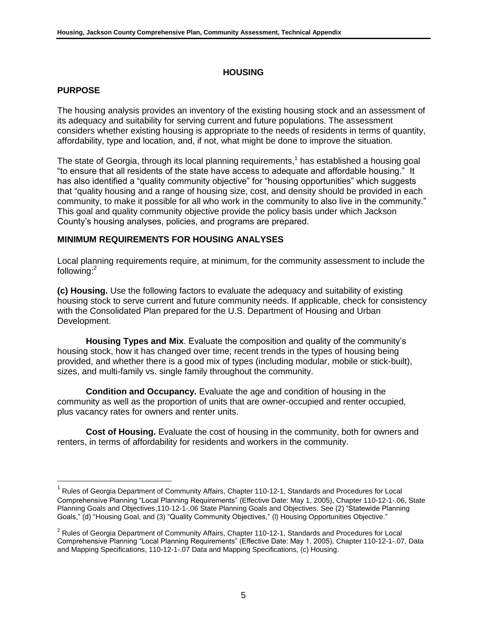#### **HOUSING**

#### **PURPOSE**

 $\overline{a}$ 

The housing analysis provides an inventory of the existing housing stock and an assessment of its adequacy and suitability for serving current and future populations. The assessment considers whether existing housing is appropriate to the needs of residents in terms of quantity, affordability, type and location, and, if not, what might be done to improve the situation.

The state of Georgia, through its local planning requirements,<sup>1</sup> has established a housing goal "to ensure that all residents of the state have access to adequate and affordable housing." It has also identified a "quality community objective" for "housing opportunities" which suggests that "quality housing and a range of housing size, cost, and density should be provided in each community, to make it possible for all who work in the community to also live in the community." This goal and quality community objective provide the policy basis under which Jackson County's housing analyses, policies, and programs are prepared.

#### **MINIMUM REQUIREMENTS FOR HOUSING ANALYSES**

Local planning requirements require, at minimum, for the community assessment to include the following:<sup>2</sup>

**(c) Housing.** Use the following factors to evaluate the adequacy and suitability of existing housing stock to serve current and future community needs. If applicable, check for consistency with the Consolidated Plan prepared for the U.S. Department of Housing and Urban Development.

**Housing Types and Mix**. Evaluate the composition and quality of the community's housing stock, how it has changed over time, recent trends in the types of housing being provided, and whether there is a good mix of types (including modular, mobile or stick-built), sizes, and multi-family vs. single family throughout the community.

**Condition and Occupancy.** Evaluate the age and condition of housing in the community as well as the proportion of units that are owner-occupied and renter occupied, plus vacancy rates for owners and renter units.

**Cost of Housing.** Evaluate the cost of housing in the community, both for owners and renters, in terms of affordability for residents and workers in the community.

 $^{\rm 1}$  Rules of Georgia Department of Community Affairs, Chapter 110-12-1, Standards and Procedures for Local Comprehensive Planning "Local Planning Requirements" (Effective Date: May 1, 2005), Chapter 110-12-1-.06, State Planning Goals and Objectives,110-12-1-.06 State Planning Goals and Objectives. See (2) "Statewide Planning Goals," (d) "Housing Goal, and (3) "Quality Community Objectives," (I) Housing Opportunities Objective."

<sup>&</sup>lt;sup>2</sup> Rules of Georgia Department of Community Affairs, Chapter 110-12-1, Standards and Procedures for Local Comprehensive Planning "Local Planning Requirements" (Effective Date: May 1, 2005), Chapter 110-12-1-.07, Data and Mapping Specifications, 110-12-1-.07 Data and Mapping Specifications, (c) Housing.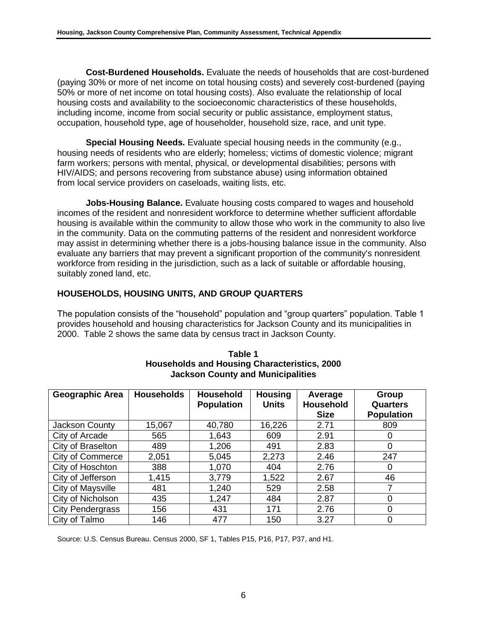**Cost-Burdened Households.** Evaluate the needs of households that are cost-burdened (paying 30% or more of net income on total housing costs) and severely cost-burdened (paying 50% or more of net income on total housing costs). Also evaluate the relationship of local housing costs and availability to the socioeconomic characteristics of these households, including income, income from social security or public assistance, employment status, occupation, household type, age of householder, household size, race, and unit type.

**Special Housing Needs.** Evaluate special housing needs in the community (e.g., housing needs of residents who are elderly; homeless; victims of domestic violence; migrant farm workers; persons with mental, physical, or developmental disabilities; persons with HIV/AIDS; and persons recovering from substance abuse) using information obtained from local service providers on caseloads, waiting lists, etc.

**Jobs-Housing Balance.** Evaluate housing costs compared to wages and household incomes of the resident and nonresident workforce to determine whether sufficient affordable housing is available within the community to allow those who work in the community to also live in the community. Data on the commuting patterns of the resident and nonresident workforce may assist in determining whether there is a jobs-housing balance issue in the community. Also evaluate any barriers that may prevent a significant proportion of the community's nonresident workforce from residing in the jurisdiction, such as a lack of suitable or affordable housing, suitably zoned land, etc.

## **HOUSEHOLDS, HOUSING UNITS, AND GROUP QUARTERS**

The population consists of the "household" population and "group quarters" population. Table 1 provides household and housing characteristics for Jackson County and its municipalities in 2000. Table 2 shows the same data by census tract in Jackson County.

| <b>Geographic Area</b>  | <b>Households</b> | <b>Household</b><br><b>Population</b> | <b>Housing</b><br><b>Units</b> | Average<br><b>Household</b><br><b>Size</b> | Group<br><b>Quarters</b><br><b>Population</b> |
|-------------------------|-------------------|---------------------------------------|--------------------------------|--------------------------------------------|-----------------------------------------------|
| Jackson County          | 15,067            | 40,780                                | 16,226                         | 2.71                                       | 809                                           |
| City of Arcade          | 565               | 1,643                                 | 609                            | 2.91                                       | 0                                             |
| City of Braselton       | 489               | 1,206                                 | 491                            | 2.83                                       | 0                                             |
| <b>City of Commerce</b> | 2,051             | 5,045                                 | 2,273                          | 2.46                                       | 247                                           |
| City of Hoschton        | 388               | 1,070                                 | 404                            | 2.76                                       | 0                                             |
| City of Jefferson       | 1,415             | 3,779                                 | 1,522                          | 2.67                                       | 46                                            |
| City of Maysville       | 481               | 1,240                                 | 529                            | 2.58                                       | 7                                             |
| City of Nicholson       | 435               | 1,247                                 | 484                            | 2.87                                       | 0                                             |
| <b>City Pendergrass</b> | 156               | 431                                   | 171                            | 2.76                                       | 0                                             |
| City of Talmo           | 146               | 477                                   | 150                            | 3.27                                       | 0                                             |

#### **Table 1 Households and Housing Characteristics, 2000 Jackson County and Municipalities**

Source: U.S. Census Bureau. Census 2000, SF 1, Tables P15, P16, P17, P37, and H1.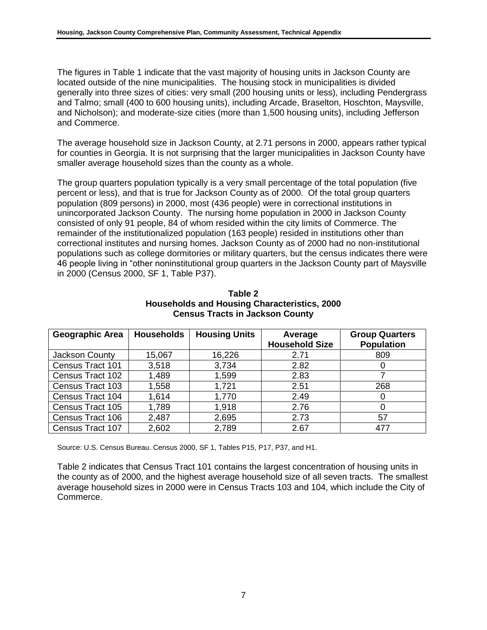The figures in Table 1 indicate that the vast majority of housing units in Jackson County are located outside of the nine municipalities. The housing stock in municipalities is divided generally into three sizes of cities: very small (200 housing units or less), including Pendergrass and Talmo; small (400 to 600 housing units), including Arcade, Braselton, Hoschton, Maysville, and Nicholson); and moderate-size cities (more than 1,500 housing units), including Jefferson and Commerce.

The average household size in Jackson County, at 2.71 persons in 2000, appears rather typical for counties in Georgia. It is not surprising that the larger municipalities in Jackson County have smaller average household sizes than the county as a whole.

The group quarters population typically is a very small percentage of the total population (five percent or less), and that is true for Jackson County as of 2000. Of the total group quarters population (809 persons) in 2000, most (436 people) were in correctional institutions in unincorporated Jackson County. The nursing home population in 2000 in Jackson County consisted of only 91 people, 84 of whom resided within the city limits of Commerce. The remainder of the institutionalized population (163 people) resided in institutions other than correctional institutes and nursing homes. Jackson County as of 2000 had no non-institutional populations such as college dormitories or military quarters, but the census indicates there were 46 people living in "other noninstitutional group quarters in the Jackson County part of Maysville in 2000 (Census 2000, SF 1, Table P37).

| <b>Geographic Area</b> | <b>Households</b> | <b>Housing Units</b> | Average               | <b>Group Quarters</b> |
|------------------------|-------------------|----------------------|-----------------------|-----------------------|
|                        |                   |                      | <b>Household Size</b> | <b>Population</b>     |
| Jackson County         | 15,067            | 16,226               | 2.71                  | 809                   |
| Census Tract 101       | 3,518             | 3,734                | 2.82                  | O                     |
| Census Tract 102       | 1,489             | 1,599                | 2.83                  |                       |
| Census Tract 103       | 1,558             | 1,721                | 2.51                  | 268                   |
| Census Tract 104       | 1,614             | 1,770                | 2.49                  | $\Omega$              |
| Census Tract 105       | 1,789             | 1,918                | 2.76                  | 0                     |
| Census Tract 106       | 2,487             | 2,695                | 2.73                  | 57                    |
| Census Tract 107       | 2,602             | 2,789                | 2.67                  | 477                   |

**Table 2 Households and Housing Characteristics, 2000 Census Tracts in Jackson County** 

Source: U.S. Census Bureau. Census 2000, SF 1, Tables P15, P17, P37, and H1.

Table 2 indicates that Census Tract 101 contains the largest concentration of housing units in the county as of 2000, and the highest average household size of all seven tracts. The smallest average household sizes in 2000 were in Census Tracts 103 and 104, which include the City of Commerce.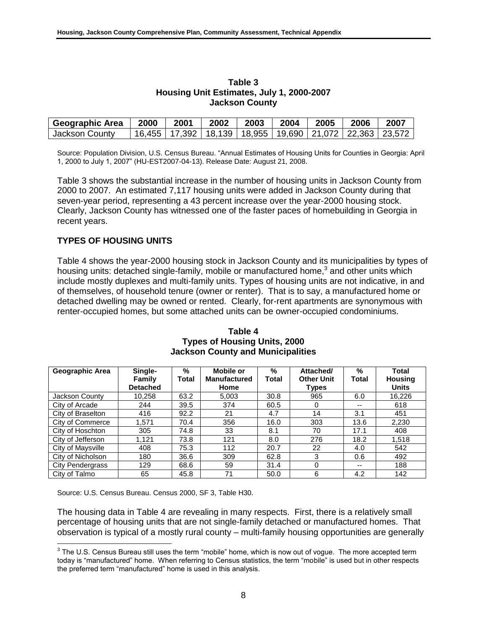| Geographic Area | 2000 | 2001                                                                  | 2002 | 2003 | 2004 | 2005 | 2006 | 2007 |
|-----------------|------|-----------------------------------------------------------------------|------|------|------|------|------|------|
| Jackson County  |      | 16,455   17,392   18,139   18,955   19,690   21,072   22,363   23,572 |      |      |      |      |      |      |

#### **Table 3 Housing Unit Estimates, July 1, 2000-2007 Jackson County**

Source: Population Division, U.S. Census Bureau. "Annual Estimates of Housing Units for Counties in Georgia: April 1, 2000 to July 1, 2007‖ (HU-EST2007-04-13). Release Date: August 21, 2008.

Table 3 shows the substantial increase in the number of housing units in Jackson County from 2000 to 2007. An estimated 7,117 housing units were added in Jackson County during that seven-year period, representing a 43 percent increase over the year-2000 housing stock. Clearly, Jackson County has witnessed one of the faster paces of homebuilding in Georgia in recent years.

## **TYPES OF HOUSING UNITS**

Table 4 shows the year-2000 housing stock in Jackson County and its municipalities by types of housing units: detached single-family, mobile or manufactured home,<sup>3</sup> and other units which include mostly duplexes and multi-family units. Types of housing units are not indicative, in and of themselves, of household tenure (owner or renter). That is to say, a manufactured home or detached dwelling may be owned or rented. Clearly, for-rent apartments are synonymous with renter-occupied homes, but some attached units can be owner-occupied condominiums.

| Geographic Area         | Single-         | $\frac{9}{6}$ | Mobile or           | $\%$         | Attached/         | %     | Total          |
|-------------------------|-----------------|---------------|---------------------|--------------|-------------------|-------|----------------|
|                         | Family          | Total         | <b>Manufactured</b> | <b>Total</b> | <b>Other Unit</b> | Total | <b>Housing</b> |
|                         | <b>Detached</b> |               | Home                |              | Types             |       | <b>Units</b>   |
| Jackson County          | 10,258          | 63.2          | 5,003               | 30.8         | 965               | 6.0   | 16,226         |
| City of Arcade          | 244             | 39.5          | 374                 | 60.5         |                   | $- -$ | 618            |
| City of Braselton       | 416             | 92.2          | 21                  | 4.7          | 14                | 3.1   | 451            |
| City of Commerce        | 1,571           | 70.4          | 356                 | 16.0         | 303               | 13.6  | 2,230          |
| City of Hoschton        | 305             | 74.8          | 33                  | 8.1          | 70                | 17.1  | 408            |
| City of Jefferson       | 1,121           | 73.8          | 121                 | 8.0          | 276               | 18.2  | 1,518          |
| City of Maysville       | 408             | 75.3          | 112                 | 20.7         | 22                | 4.0   | 542            |
| City of Nicholson       | 180             | 36.6          | 309                 | 62.8         | 3                 | 0.6   | 492            |
| <b>City Pendergrass</b> | 129             | 68.6          | 59                  | 31.4         | 0                 | $- -$ | 188            |
| City of Talmo           | 65              | 45.8          | 71                  | 50.0         | 6                 | 4.2   | 142            |

#### **Table 4 Types of Housing Units, 2000 Jackson County and Municipalities**

Source: U.S. Census Bureau. Census 2000, SF 3, Table H30.

l

The housing data in Table 4 are revealing in many respects. First, there is a relatively small percentage of housing units that are not single-family detached or manufactured homes. That observation is typical of a mostly rural county – multi-family housing opportunities are generally

 $3$  The U.S. Census Bureau still uses the term "mobile" home, which is now out of vogue. The more accepted term today is "manufactured" home. When referring to Census statistics, the term "mobile" is used but in other respects the preferred term "manufactured" home is used in this analysis.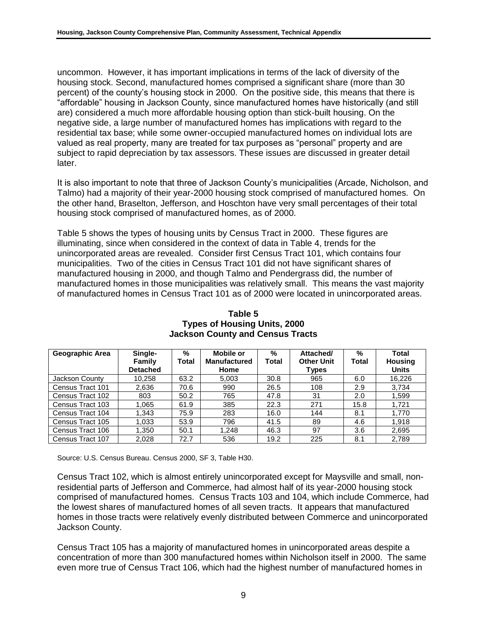uncommon. However, it has important implications in terms of the lack of diversity of the housing stock. Second, manufactured homes comprised a significant share (more than 30 percent) of the county's housing stock in 2000. On the positive side, this means that there is ―affordable‖ housing in Jackson County, since manufactured homes have historically (and still are) considered a much more affordable housing option than stick-built housing. On the negative side, a large number of manufactured homes has implications with regard to the residential tax base; while some owner-occupied manufactured homes on individual lots are valued as real property, many are treated for tax purposes as "personal" property and are subject to rapid depreciation by tax assessors. These issues are discussed in greater detail later.

It is also important to note that three of Jackson County's municipalities (Arcade, Nicholson, and Talmo) had a majority of their year-2000 housing stock comprised of manufactured homes. On the other hand, Braselton, Jefferson, and Hoschton have very small percentages of their total housing stock comprised of manufactured homes, as of 2000.

Table 5 shows the types of housing units by Census Tract in 2000. These figures are illuminating, since when considered in the context of data in Table 4, trends for the unincorporated areas are revealed. Consider first Census Tract 101, which contains four municipalities. Two of the cities in Census Tract 101 did not have significant shares of manufactured housing in 2000, and though Talmo and Pendergrass did, the number of manufactured homes in those municipalities was relatively small. This means the vast majority of manufactured homes in Census Tract 101 as of 2000 were located in unincorporated areas.

| Geographic Area  | Single-                   | %     | %<br>Mobile or<br><b>Manufactured</b> |              | Attached/                  | %     | Total                          |
|------------------|---------------------------|-------|---------------------------------------|--------------|----------------------------|-------|--------------------------------|
|                  | Family<br><b>Detached</b> | Total | Home                                  | <b>Total</b> | <b>Other Unit</b><br>Types | Total | <b>Housing</b><br><b>Units</b> |
| Jackson County   | 10,258                    | 63.2  | 5,003                                 | 30.8         | 965                        | 6.0   | 16,226                         |
| Census Tract 101 | 2,636                     | 70.6  | 990                                   | 26.5         | 108                        | 2.9   | 3.734                          |
| Census Tract 102 | 803                       | 50.2  | 765                                   | 47.8         | 31                         | 2.0   | 1,599                          |
| Census Tract 103 | 1,065                     | 61.9  | 385                                   | 22.3         | 271                        | 15.8  | 1,721                          |
| Census Tract 104 | 1,343                     | 75.9  | 283                                   | 16.0         | 144                        | 8.1   | 1,770                          |
| Census Tract 105 | 1,033                     | 53.9  | 796                                   | 41.5         | 89                         | 4.6   | 1,918                          |
| Census Tract 106 | 1,350                     | 50.1  | 1,248                                 | 46.3         | 97                         | 3.6   | 2,695                          |
| Census Tract 107 | 2.028                     | 72.7  | 536                                   | 19.2         | 225                        | 8.1   | 2,789                          |

#### **Table 5 Types of Housing Units, 2000 Jackson County and Census Tracts**

Source: U.S. Census Bureau. Census 2000, SF 3, Table H30.

Census Tract 102, which is almost entirely unincorporated except for Maysville and small, nonresidential parts of Jefferson and Commerce, had almost half of its year-2000 housing stock comprised of manufactured homes. Census Tracts 103 and 104, which include Commerce, had the lowest shares of manufactured homes of all seven tracts. It appears that manufactured homes in those tracts were relatively evenly distributed between Commerce and unincorporated Jackson County.

Census Tract 105 has a majority of manufactured homes in unincorporated areas despite a concentration of more than 300 manufactured homes within Nicholson itself in 2000. The same even more true of Census Tract 106, which had the highest number of manufactured homes in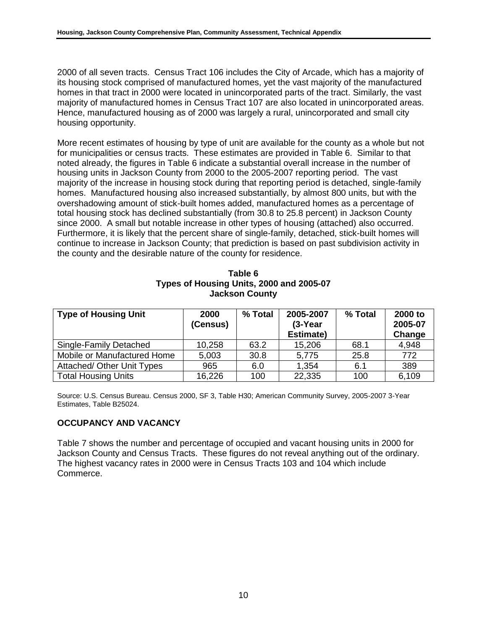2000 of all seven tracts. Census Tract 106 includes the City of Arcade, which has a majority of its housing stock comprised of manufactured homes, yet the vast majority of the manufactured homes in that tract in 2000 were located in unincorporated parts of the tract. Similarly, the vast majority of manufactured homes in Census Tract 107 are also located in unincorporated areas. Hence, manufactured housing as of 2000 was largely a rural, unincorporated and small city housing opportunity.

More recent estimates of housing by type of unit are available for the county as a whole but not for municipalities or census tracts. These estimates are provided in Table 6. Similar to that noted already, the figures in Table 6 indicate a substantial overall increase in the number of housing units in Jackson County from 2000 to the 2005-2007 reporting period. The vast majority of the increase in housing stock during that reporting period is detached, single-family homes. Manufactured housing also increased substantially, by almost 800 units, but with the overshadowing amount of stick-built homes added, manufactured homes as a percentage of total housing stock has declined substantially (from 30.8 to 25.8 percent) in Jackson County since 2000. A small but notable increase in other types of housing (attached) also occurred. Furthermore, it is likely that the percent share of single-family, detached, stick-built homes will continue to increase in Jackson County; that prediction is based on past subdivision activity in the county and the desirable nature of the county for residence.

| Table 6                                  |
|------------------------------------------|
| Types of Housing Units, 2000 and 2005-07 |
| <b>Jackson County</b>                    |

| <b>Type of Housing Unit</b> | 2000<br>(Census) | % Total | 2005-2007<br>$(3-Year)$<br>Estimate) | % Total | 2000 to<br>2005-07<br>Change |
|-----------------------------|------------------|---------|--------------------------------------|---------|------------------------------|
| Single-Family Detached      | 10,258           | 63.2    | 15,206                               | 68.1    | 4,948                        |
| Mobile or Manufactured Home | 5,003            | 30.8    | 5,775                                | 25.8    | 772                          |
| Attached/ Other Unit Types  | 965              | 6.0     | 1,354                                | 6.1     | 389                          |
| <b>Total Housing Units</b>  | 16,226           | 100     | 22,335                               | 100     | 6,109                        |

Source: U.S. Census Bureau. Census 2000, SF 3, Table H30; American Community Survey, 2005-2007 3-Year Estimates, Table B25024.

## **OCCUPANCY AND VACANCY**

Table 7 shows the number and percentage of occupied and vacant housing units in 2000 for Jackson County and Census Tracts. These figures do not reveal anything out of the ordinary. The highest vacancy rates in 2000 were in Census Tracts 103 and 104 which include Commerce.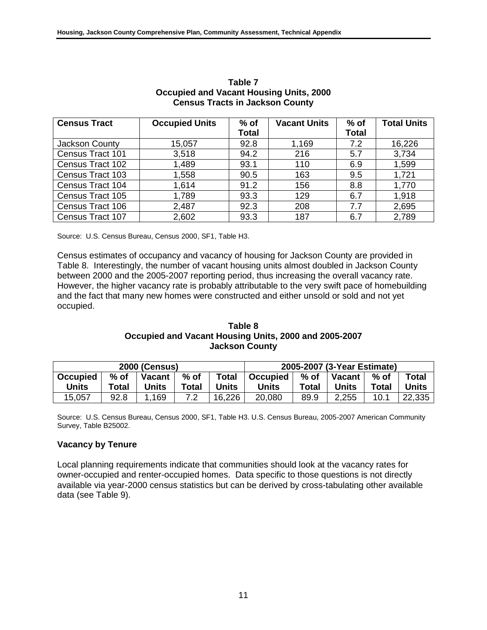| <b>Census Tract</b> | <b>Occupied Units</b> | $%$ of       | <b>Vacant Units</b> | $%$ of       | <b>Total Units</b> |
|---------------------|-----------------------|--------------|---------------------|--------------|--------------------|
|                     |                       | <b>Total</b> |                     | <b>Total</b> |                    |
| Jackson County      | 15,057                | 92.8         | 1,169               | 7.2          | 16,226             |
| Census Tract 101    | 3,518                 | 94.2         | 216                 | 5.7          | 3,734              |
| Census Tract 102    | 1,489                 | 93.1         | 110                 | 6.9          | 1,599              |
| Census Tract 103    | 1,558                 | 90.5         | 163                 | 9.5          | 1,721              |
| Census Tract 104    | 1,614                 | 91.2         | 156                 | 8.8          | 1,770              |
| Census Tract 105    | 1,789                 | 93.3         | 129                 | 6.7          | 1,918              |
| Census Tract 106    | 2,487                 | 92.3         | 208                 | 7.7          | 2,695              |
| Census Tract 107    | 2,602                 | 93.3         | 187                 | 6.7          | 2,789              |

#### **Table 7 Occupied and Vacant Housing Units, 2000 Census Tracts in Jackson County**

Source: U.S. Census Bureau, Census 2000, SF1, Table H3.

Census estimates of occupancy and vacancy of housing for Jackson County are provided in Table 8. Interestingly, the number of vacant housing units almost doubled in Jackson County between 2000 and the 2005-2007 reporting period, thus increasing the overall vacancy rate. However, the higher vacancy rate is probably attributable to the very swift pace of homebuilding and the fact that many new homes were constructed and either unsold or sold and not yet occupied.

## **Table 8 Occupied and Vacant Housing Units, 2000 and 2005-2007 Jackson County**

| <b>2000 (Census)</b> |        |          |        |              | 2005-2007 (3-Year Estimate) |       |                             |        |              |
|----------------------|--------|----------|--------|--------------|-----------------------------|-------|-----------------------------|--------|--------------|
| <b>Occupied</b>      | $%$ of | Vacant l | $%$ of | <b>Total</b> | <b>Occupied</b>             |       | % of $\vert$ Vacant $\vert$ | $%$ of | <b>Total</b> |
| Units                | Total  | Units    | Total  | Units        | Units                       | Total | Units                       | Total  | <b>Units</b> |
| 15,057               | 92.8   | .169     | 7.2    | 16,226       | 20,080                      | 89.9  | 2,255                       | 10.1   | 22,335       |

Source: U.S. Census Bureau, Census 2000, SF1, Table H3. U.S. Census Bureau, 2005-2007 American Community Survey, Table B25002.

## **Vacancy by Tenure**

Local planning requirements indicate that communities should look at the vacancy rates for owner-occupied and renter-occupied homes. Data specific to those questions is not directly available via year-2000 census statistics but can be derived by cross-tabulating other available data (see Table 9).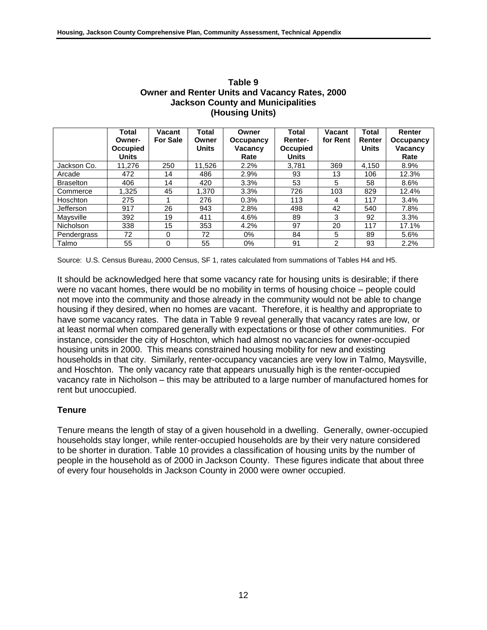|                  | Total<br>Owner-<br><b>Occupied</b><br><b>Units</b> | Vacant<br><b>For Sale</b> | Total<br>Owner<br><b>Units</b> | Owner<br>Occupancy<br>Vacancy<br>Rate | Total<br><b>Renter-</b><br><b>Occupied</b><br><b>Units</b> | Vacant<br>for Rent | <b>Total</b><br>Renter<br><b>Units</b> | Renter<br>Occupancy<br>Vacancy<br>Rate |
|------------------|----------------------------------------------------|---------------------------|--------------------------------|---------------------------------------|------------------------------------------------------------|--------------------|----------------------------------------|----------------------------------------|
| Jackson Co.      | 11.276                                             | 250                       | 11.526                         | 2.2%                                  | 3.781                                                      | 369                | 4.150                                  | 8.9%                                   |
| Arcade           | 472                                                | 14                        | 486                            | 2.9%                                  | 93                                                         | 13                 | 106                                    | 12.3%                                  |
| <b>Braselton</b> | 406                                                | 14                        | 420                            | 3.3%                                  | 53                                                         | 5                  | 58                                     | 8.6%                                   |
| Commerce         | 1.325                                              | 45                        | 1.370                          | 3.3%                                  | 726                                                        | 103                | 829                                    | 12.4%                                  |
| Hoschton         | 275                                                | 4                         | 276                            | 0.3%                                  | 113                                                        | 4                  | 117                                    | 3.4%                                   |
| Jefferson        | 917                                                | 26                        | 943                            | 2.8%                                  | 498                                                        | 42                 | 540                                    | 7.8%                                   |
| Maysville        | 392                                                | 19                        | 411                            | 4.6%                                  | 89                                                         | 3                  | 92                                     | 3.3%                                   |
| Nicholson        | 338                                                | 15                        | 353                            | 4.2%                                  | 97                                                         | 20                 | 117                                    | 17.1%                                  |
| Pendergrass      | 72                                                 | 0                         | 72                             | $0\%$                                 | 84                                                         | 5                  | 89                                     | 5.6%                                   |
| Talmo            | 55                                                 | 0                         | 55                             | 0%                                    | 91                                                         | $\mathcal{P}$      | 93                                     | 2.2%                                   |

#### **Table 9 Owner and Renter Units and Vacancy Rates, 2000 Jackson County and Municipalities (Housing Units)**

Source: U.S. Census Bureau, 2000 Census, SF 1, rates calculated from summations of Tables H4 and H5.

It should be acknowledged here that some vacancy rate for housing units is desirable; if there were no vacant homes, there would be no mobility in terms of housing choice – people could not move into the community and those already in the community would not be able to change housing if they desired, when no homes are vacant. Therefore, it is healthy and appropriate to have some vacancy rates. The data in Table 9 reveal generally that vacancy rates are low, or at least normal when compared generally with expectations or those of other communities. For instance, consider the city of Hoschton, which had almost no vacancies for owner-occupied housing units in 2000. This means constrained housing mobility for new and existing households in that city. Similarly, renter-occupancy vacancies are very low in Talmo, Maysville, and Hoschton. The only vacancy rate that appears unusually high is the renter-occupied vacancy rate in Nicholson – this may be attributed to a large number of manufactured homes for rent but unoccupied.

## **Tenure**

Tenure means the length of stay of a given household in a dwelling. Generally, owner-occupied households stay longer, while renter-occupied households are by their very nature considered to be shorter in duration. Table 10 provides a classification of housing units by the number of people in the household as of 2000 in Jackson County. These figures indicate that about three of every four households in Jackson County in 2000 were owner occupied.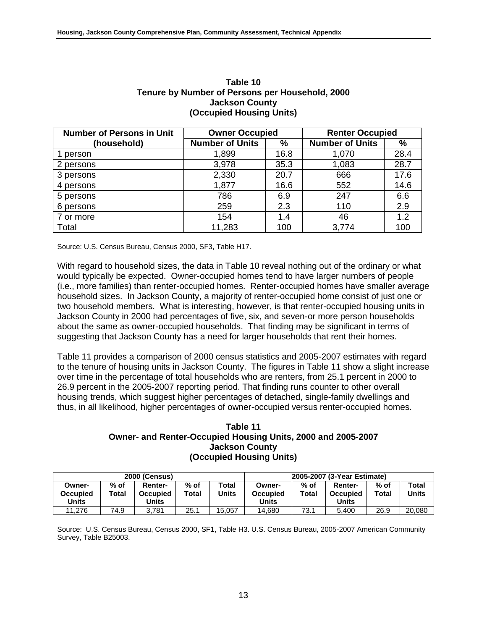| <b>Number of Persons in Unit</b> | <b>Owner Occupied</b>  |      | <b>Renter Occupied</b> |      |  |
|----------------------------------|------------------------|------|------------------------|------|--|
| (household)                      | <b>Number of Units</b> | %    | <b>Number of Units</b> | %    |  |
| person                           | 1,899                  | 16.8 | 1,070                  | 28.4 |  |
| 2 persons                        | 3,978                  | 35.3 | 1,083                  | 28.7 |  |
| 3 persons                        | 2,330                  | 20.7 | 666                    | 17.6 |  |
| 4 persons                        | 1,877                  | 16.6 | 552                    | 14.6 |  |
| 5 persons                        | 786                    | 6.9  | 247                    | 6.6  |  |
| 6 persons                        | 259                    | 2.3  | 110                    | 2.9  |  |
| 7 or more                        | 154                    | 1.4  | 46                     | 1.2  |  |
| Total                            | 11,283                 | 100  | 3,774                  | 10C  |  |

#### **Table 10 Tenure by Number of Persons per Household, 2000 Jackson County (Occupied Housing Units)**

Source: U.S. Census Bureau, Census 2000, SF3, Table H17.

With regard to household sizes, the data in Table 10 reveal nothing out of the ordinary or what would typically be expected. Owner-occupied homes tend to have larger numbers of people (i.e., more families) than renter-occupied homes. Renter-occupied homes have smaller average household sizes. In Jackson County, a majority of renter-occupied home consist of just one or two household members. What is interesting, however, is that renter-occupied housing units in Jackson County in 2000 had percentages of five, six, and seven-or more person households about the same as owner-occupied households. That finding may be significant in terms of suggesting that Jackson County has a need for larger households that rent their homes.

Table 11 provides a comparison of 2000 census statistics and 2005-2007 estimates with regard to the tenure of housing units in Jackson County. The figures in Table 11 show a slight increase over time in the percentage of total households who are renters, from 25.1 percent in 2000 to 26.9 percent in the 2005-2007 reporting period. That finding runs counter to other overall housing trends, which suggest higher percentages of detached, single-family dwellings and thus, in all likelihood, higher percentages of owner-occupied versus renter-occupied homes.

#### **Table 11 Owner- and Renter-Occupied Housing Units, 2000 and 2005-2007 Jackson County (Occupied Housing Units)**

| <b>2000 (Census)</b>                      |                 |                                            |                 | 2005-2007 (3-Year Estimate) |                                    |               |                                     |                 |                |
|-------------------------------------------|-----------------|--------------------------------------------|-----------------|-----------------------------|------------------------------------|---------------|-------------------------------------|-----------------|----------------|
| Owner-<br><b>Occupied</b><br><b>Units</b> | $%$ of<br>Total | <b>Renter-</b><br><b>Occupied</b><br>Units | $%$ of<br>Total | Total<br>Units              | Owner-<br><b>Occupied</b><br>Units | % of<br>Total | Renter-<br><b>Occupied</b><br>Units | $%$ of<br>Total | Total<br>Units |
| 11.276                                    | 74.9            | 3.781                                      | 25.1            | 15.057                      | 14.680                             | 73.1          | 5.400                               | 26.9            | 20,080         |

Source: U.S. Census Bureau, Census 2000, SF1, Table H3. U.S. Census Bureau, 2005-2007 American Community Survey, Table B25003.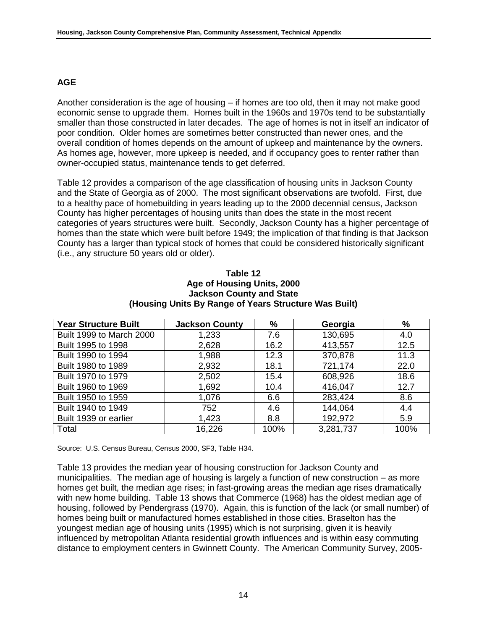## **AGE**

Another consideration is the age of housing – if homes are too old, then it may not make good economic sense to upgrade them. Homes built in the 1960s and 1970s tend to be substantially smaller than those constructed in later decades. The age of homes is not in itself an indicator of poor condition. Older homes are sometimes better constructed than newer ones, and the overall condition of homes depends on the amount of upkeep and maintenance by the owners. As homes age, however, more upkeep is needed, and if occupancy goes to renter rather than owner-occupied status, maintenance tends to get deferred.

Table 12 provides a comparison of the age classification of housing units in Jackson County and the State of Georgia as of 2000. The most significant observations are twofold. First, due to a healthy pace of homebuilding in years leading up to the 2000 decennial census, Jackson County has higher percentages of housing units than does the state in the most recent categories of years structures were built. Secondly, Jackson County has a higher percentage of homes than the state which were built before 1949; the implication of that finding is that Jackson County has a larger than typical stock of homes that could be considered historically significant (i.e., any structure 50 years old or older).

| Table 12                                              |
|-------------------------------------------------------|
| Age of Housing Units, 2000                            |
| <b>Jackson County and State</b>                       |
| (Housing Units By Range of Years Structure Was Built) |

| <b>Year Structure Built</b> | <b>Jackson County</b> | $\%$ | Georgia   | %    |
|-----------------------------|-----------------------|------|-----------|------|
| Built 1999 to March 2000    | 1,233                 | 7.6  | 130,695   | 4.0  |
| Built 1995 to 1998          | 2,628                 | 16.2 | 413,557   | 12.5 |
| Built 1990 to 1994          | 1,988                 | 12.3 | 370,878   | 11.3 |
| Built 1980 to 1989          | 2,932                 | 18.1 | 721,174   | 22.0 |
| Built 1970 to 1979          | 2,502                 | 15.4 | 608,926   | 18.6 |
| Built 1960 to 1969          | 1,692                 | 10.4 | 416,047   | 12.7 |
| Built 1950 to 1959          | 1,076                 | 6.6  | 283,424   | 8.6  |
| Built 1940 to 1949          | 752                   | 4.6  | 144,064   | 4.4  |
| Built 1939 or earlier       | 1,423                 | 8.8  | 192,972   | 5.9  |
| Total                       | 16,226                | 100% | 3,281,737 | 100% |

Source: U.S. Census Bureau, Census 2000, SF3, Table H34.

Table 13 provides the median year of housing construction for Jackson County and municipalities. The median age of housing is largely a function of new construction – as more homes get built, the median age rises; in fast-growing areas the median age rises dramatically with new home building. Table 13 shows that Commerce (1968) has the oldest median age of housing, followed by Pendergrass (1970). Again, this is function of the lack (or small number) of homes being built or manufactured homes established in those cities. Braselton has the youngest median age of housing units (1995) which is not surprising, given it is heavily influenced by metropolitan Atlanta residential growth influences and is within easy commuting distance to employment centers in Gwinnett County. The American Community Survey, 2005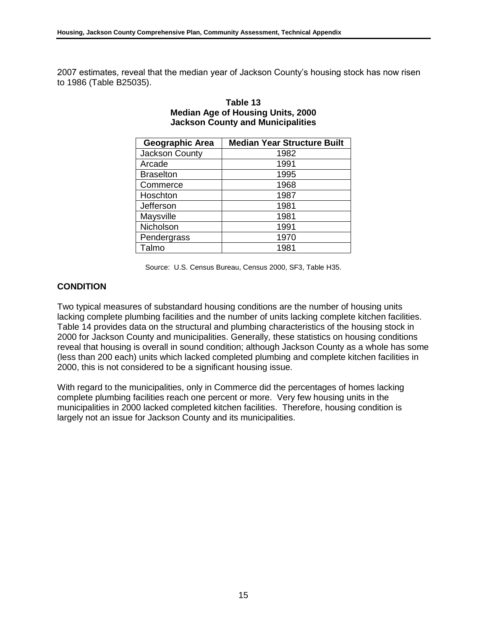2007 estimates, reveal that the median year of Jackson County's housing stock has now risen to 1986 (Table B25035).

| <b>Geographic Area</b> | <b>Median Year Structure Built</b> |
|------------------------|------------------------------------|
| Jackson County         | 1982                               |
| Arcade                 | 1991                               |
| <b>Braselton</b>       | 1995                               |
| Commerce               | 1968                               |
| Hoschton               | 1987                               |
| Jefferson              | 1981                               |
| Maysville              | 1981                               |
| Nicholson              | 1991                               |
| Pendergrass            | 1970                               |
| Talmo                  | 1981                               |

| Table 13                                 |
|------------------------------------------|
| <b>Median Age of Housing Units, 2000</b> |
| <b>Jackson County and Municipalities</b> |

Source: U.S. Census Bureau, Census 2000, SF3, Table H35.

## **CONDITION**

Two typical measures of substandard housing conditions are the number of housing units lacking complete plumbing facilities and the number of units lacking complete kitchen facilities. Table 14 provides data on the structural and plumbing characteristics of the housing stock in 2000 for Jackson County and municipalities. Generally, these statistics on housing conditions reveal that housing is overall in sound condition; although Jackson County as a whole has some (less than 200 each) units which lacked completed plumbing and complete kitchen facilities in 2000, this is not considered to be a significant housing issue.

With regard to the municipalities, only in Commerce did the percentages of homes lacking complete plumbing facilities reach one percent or more. Very few housing units in the municipalities in 2000 lacked completed kitchen facilities. Therefore, housing condition is largely not an issue for Jackson County and its municipalities.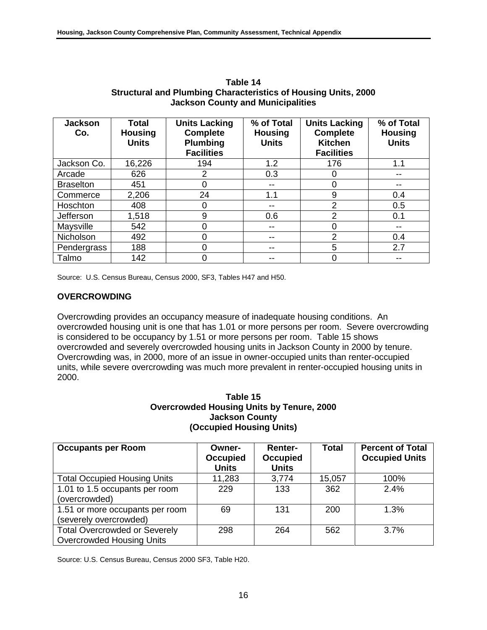| <b>Jackson</b><br>Co. | <b>Total</b><br><b>Housing</b> | <b>Units Lacking</b><br><b>Complete</b> | % of Total<br><b>Housing</b> | <b>Units Lacking</b><br><b>Complete</b> | % of Total<br><b>Housing</b> |
|-----------------------|--------------------------------|-----------------------------------------|------------------------------|-----------------------------------------|------------------------------|
|                       | <b>Units</b>                   | <b>Plumbing</b><br><b>Facilities</b>    | <b>Units</b>                 | <b>Kitchen</b><br><b>Facilities</b>     | <b>Units</b>                 |
| Jackson Co.           | 16,226                         | 194                                     | 1.2                          | 176                                     | 1.1                          |
| Arcade                | 626                            | 2                                       | 0.3                          | 0                                       |                              |
| <b>Braselton</b>      | 451                            | 0                                       | --                           | 0                                       |                              |
| Commerce              | 2,206                          | 24                                      | 1.1                          | 9                                       | 0.4                          |
| Hoschton              | 408                            | 0                                       | $- -$                        | $\overline{2}$                          | 0.5                          |
| Jefferson             | 1,518                          | 9                                       | 0.6                          | $\overline{2}$                          | 0.1                          |
| Maysville             | 542                            | 0                                       | --                           | 0                                       |                              |
| Nicholson             | 492                            | ი                                       | --                           | $\overline{2}$                          | 0.4                          |
| Pendergrass           | 188                            |                                         | --                           | 5                                       | 2.7                          |
| Talmo                 | 142                            |                                         |                              | 0                                       |                              |

**Table 14 Structural and Plumbing Characteristics of Housing Units, 2000 Jackson County and Municipalities**

Source: U.S. Census Bureau, Census 2000, SF3, Tables H47 and H50.

## **OVERCROWDING**

Overcrowding provides an occupancy measure of inadequate housing conditions. An overcrowded housing unit is one that has 1.01 or more persons per room. Severe overcrowding is considered to be occupancy by 1.51 or more persons per room. Table 15 shows overcrowded and severely overcrowded housing units in Jackson County in 2000 by tenure. Overcrowding was, in 2000, more of an issue in owner-occupied units than renter-occupied units, while severe overcrowding was much more prevalent in renter-occupied housing units in 2000.

#### **Table 15 Overcrowded Housing Units by Tenure, 2000 Jackson County (Occupied Housing Units)**

| <b>Occupants per Room</b>                                                | Owner-<br><b>Occupied</b><br><b>Units</b> | <b>Renter-</b><br><b>Occupied</b><br><b>Units</b> | <b>Total</b> | <b>Percent of Total</b><br><b>Occupied Units</b> |
|--------------------------------------------------------------------------|-------------------------------------------|---------------------------------------------------|--------------|--------------------------------------------------|
| <b>Total Occupied Housing Units</b>                                      | 11,283                                    | 3,774                                             | 15,057       | 100%                                             |
| 1.01 to 1.5 occupants per room<br>(overcrowded)                          | 229                                       | 133                                               | 362          | 2.4%                                             |
| 1.51 or more occupants per room<br>(severely overcrowded)                | 69                                        | 131                                               | 200          | 1.3%                                             |
| <b>Total Overcrowded or Severely</b><br><b>Overcrowded Housing Units</b> | 298                                       | 264                                               | 562          | $3.7\%$                                          |

Source: U.S. Census Bureau, Census 2000 SF3, Table H20.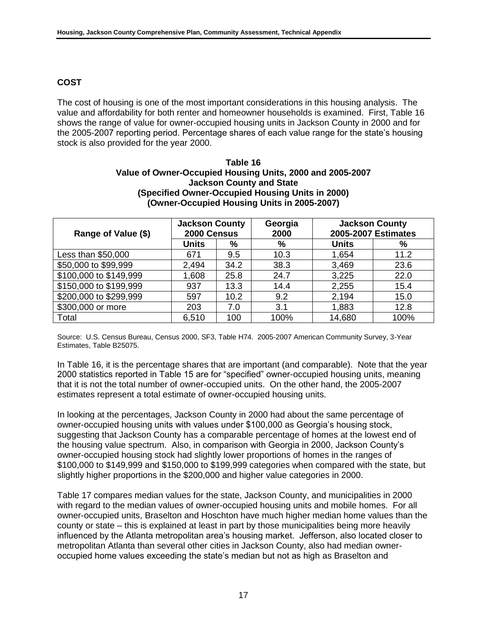## **COST**

The cost of housing is one of the most important considerations in this housing analysis. The value and affordability for both renter and homeowner households is examined. First, Table 16 shows the range of value for owner-occupied housing units in Jackson County in 2000 and for the 2005-2007 reporting period. Percentage shares of each value range for the state's housing stock is also provided for the year 2000.

#### **Table 16 Value of Owner-Occupied Housing Units, 2000 and 2005-2007 Jackson County and State (Specified Owner-Occupied Housing Units in 2000) (Owner-Occupied Housing Units in 2005-2007)**

| Range of Value (\$)    | <b>Jackson County</b><br>2000 Census |      | Georgia<br>2000 | <b>Jackson County</b><br>2005-2007 Estimates |      |
|------------------------|--------------------------------------|------|-----------------|----------------------------------------------|------|
|                        | <b>Units</b>                         | %    | %               | <b>Units</b>                                 | %    |
| Less than \$50,000     | 671                                  | 9.5  | 10.3            | 1,654                                        | 11.2 |
| \$50,000 to \$99,999   | 2,494                                | 34.2 | 38.3            | 3,469                                        | 23.6 |
| \$100,000 to \$149,999 | 1,608                                | 25.8 | 24.7            | 3,225                                        | 22.0 |
| \$150,000 to \$199,999 | 937                                  | 13.3 | 14.4            | 2,255                                        | 15.4 |
| \$200,000 to \$299,999 | 597                                  | 10.2 | 9.2             | 2,194                                        | 15.0 |
| \$300,000 or more      | 203                                  | 7.0  | 3.1             | 1,883                                        | 12.8 |
| Total                  | 6,510                                | 100  | 100%            | 14,680                                       | 100% |

Source: U.S. Census Bureau, Census 2000, SF3, Table H74. 2005-2007 American Community Survey, 3-Year Estimates, Table B25075.

In Table 16, it is the percentage shares that are important (and comparable). Note that the year 2000 statistics reported in Table 15 are for "specified" owner-occupied housing units, meaning that it is not the total number of owner-occupied units. On the other hand, the 2005-2007 estimates represent a total estimate of owner-occupied housing units.

In looking at the percentages, Jackson County in 2000 had about the same percentage of owner-occupied housing units with values under \$100,000 as Georgia's housing stock, suggesting that Jackson County has a comparable percentage of homes at the lowest end of the housing value spectrum. Also, in comparison with Georgia in 2000, Jackson County's owner-occupied housing stock had slightly lower proportions of homes in the ranges of \$100,000 to \$149,999 and \$150,000 to \$199,999 categories when compared with the state, but slightly higher proportions in the \$200,000 and higher value categories in 2000.

Table 17 compares median values for the state, Jackson County, and municipalities in 2000 with regard to the median values of owner-occupied housing units and mobile homes. For all owner-occupied units, Braselton and Hoschton have much higher median home values than the county or state – this is explained at least in part by those municipalities being more heavily influenced by the Atlanta metropolitan area's housing market. Jefferson, also located closer to metropolitan Atlanta than several other cities in Jackson County, also had median owneroccupied home values exceeding the state's median but not as high as Braselton and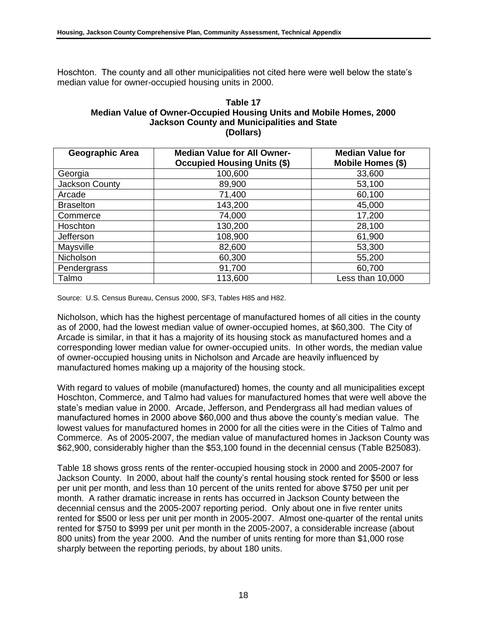Hoschton. The county and all other municipalities not cited here were well below the state's median value for owner-occupied housing units in 2000.

#### **Table 17 Median Value of Owner-Occupied Housing Units and Mobile Homes, 2000 Jackson County and Municipalities and State (Dollars)**

| Geographic Area  | <b>Median Value for All Owner-</b><br><b>Occupied Housing Units (\$)</b> | <b>Median Value for</b><br>Mobile Homes (\$) |
|------------------|--------------------------------------------------------------------------|----------------------------------------------|
| Georgia          | 100,600                                                                  | 33,600                                       |
| Jackson County   | 89,900                                                                   | 53,100                                       |
| Arcade           | 71,400                                                                   | 60,100                                       |
| <b>Braselton</b> | 143,200                                                                  | 45,000                                       |
| Commerce         | 74,000                                                                   | 17,200                                       |
| Hoschton         | 130,200                                                                  | 28,100                                       |
| Jefferson        | 108,900                                                                  | 61,900                                       |
| Maysville        | 82,600                                                                   | 53,300                                       |
| Nicholson        | 60,300                                                                   | 55,200                                       |
| Pendergrass      | 91,700                                                                   | 60,700                                       |
| Talmo            | 113,600                                                                  | Less than 10,000                             |

Source: U.S. Census Bureau, Census 2000, SF3, Tables H85 and H82.

Nicholson, which has the highest percentage of manufactured homes of all cities in the county as of 2000, had the lowest median value of owner-occupied homes, at \$60,300. The City of Arcade is similar, in that it has a majority of its housing stock as manufactured homes and a corresponding lower median value for owner-occupied units. In other words, the median value of owner-occupied housing units in Nicholson and Arcade are heavily influenced by manufactured homes making up a majority of the housing stock.

With regard to values of mobile (manufactured) homes, the county and all municipalities except Hoschton, Commerce, and Talmo had values for manufactured homes that were well above the state's median value in 2000. Arcade, Jefferson, and Pendergrass all had median values of manufactured homes in 2000 above \$60,000 and thus above the county's median value. The lowest values for manufactured homes in 2000 for all the cities were in the Cities of Talmo and Commerce. As of 2005-2007, the median value of manufactured homes in Jackson County was \$62,900, considerably higher than the \$53,100 found in the decennial census (Table B25083).

Table 18 shows gross rents of the renter-occupied housing stock in 2000 and 2005-2007 for Jackson County. In 2000, about half the county's rental housing stock rented for \$500 or less per unit per month, and less than 10 percent of the units rented for above \$750 per unit per month. A rather dramatic increase in rents has occurred in Jackson County between the decennial census and the 2005-2007 reporting period. Only about one in five renter units rented for \$500 or less per unit per month in 2005-2007. Almost one-quarter of the rental units rented for \$750 to \$999 per unit per month in the 2005-2007, a considerable increase (about 800 units) from the year 2000. And the number of units renting for more than \$1,000 rose sharply between the reporting periods, by about 180 units.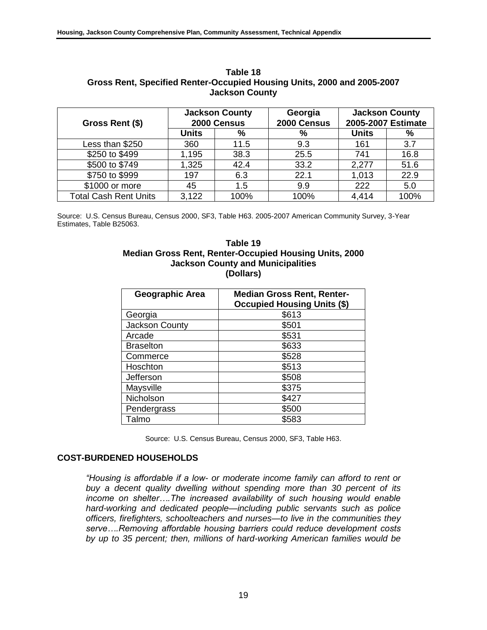| Gross Rent (\$)              | <b>Jackson County</b><br>2000 Census |      | Georgia<br>2000 Census | <b>Jackson County</b><br>2005-2007 Estimate |      |
|------------------------------|--------------------------------------|------|------------------------|---------------------------------------------|------|
|                              | <b>Units</b>                         | %    | %                      | <b>Units</b>                                | %    |
| Less than \$250              | 360                                  | 11.5 | 9.3                    | 161                                         | 3.7  |
| \$250 to \$499               | 1,195                                | 38.3 | 25.5                   | 741                                         | 16.8 |
| \$500 to \$749               | 1,325                                | 42.4 | 33.2                   | 2,277                                       | 51.6 |
| \$750 to \$999               | 197                                  | 6.3  | 22.1                   | 1,013                                       | 22.9 |
| \$1000 or more               | 45                                   | 1.5  | 9.9                    | 222                                         | 5.0  |
| <b>Total Cash Rent Units</b> | 3,122                                | 100% | 100%                   | 4,414                                       | 100% |

**Table 18 Gross Rent, Specified Renter-Occupied Housing Units, 2000 and 2005-2007 Jackson County**

Source: U.S. Census Bureau, Census 2000, SF3, Table H63. 2005-2007 American Community Survey, 3-Year Estimates, Table B25063.

#### **Table 19 Median Gross Rent, Renter-Occupied Housing Units, 2000 Jackson County and Municipalities (Dollars)**

| Geographic Area  | <b>Median Gross Rent, Renter-</b><br><b>Occupied Housing Units (\$)</b> |
|------------------|-------------------------------------------------------------------------|
| Georgia          | \$613                                                                   |
| Jackson County   | \$501                                                                   |
| Arcade           | \$531                                                                   |
| <b>Braselton</b> | \$633                                                                   |
| Commerce         | \$528                                                                   |
| Hoschton         | \$513                                                                   |
| Jefferson        | \$508                                                                   |
| Maysville        | \$375                                                                   |
| Nicholson        | \$427                                                                   |
| Pendergrass      | \$500                                                                   |
| Talmo            | \$583                                                                   |

Source: U.S. Census Bureau, Census 2000, SF3, Table H63.

## **COST-BURDENED HOUSEHOLDS**

*"Housing is affordable if a low- or moderate income family can afford to rent or buy a decent quality dwelling without spending more than 30 percent of its income on shelter….The increased availability of such housing would enable hard-working and dedicated people—including public servants such as police officers, firefighters, schoolteachers and nurses—to live in the communities they serve….Removing affordable housing barriers could reduce development costs by up to 35 percent; then, millions of hard-working American families would be*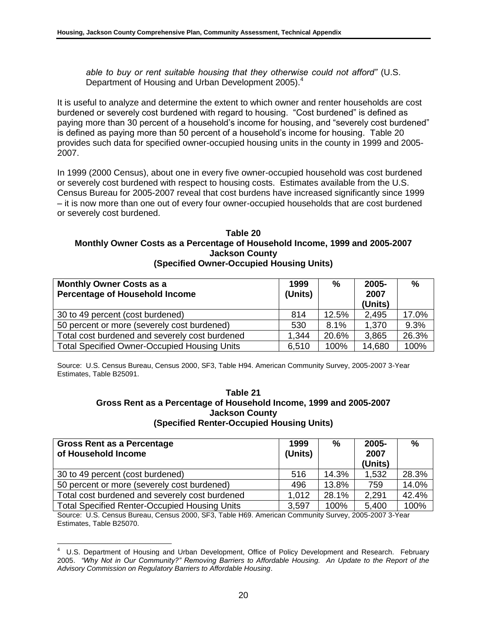*able to buy or rent suitable housing that they otherwise could not afford"* (U.S. Department of Housing and Urban Development 2005).<sup>4</sup>

It is useful to analyze and determine the extent to which owner and renter households are cost burdened or severely cost burdened with regard to housing. "Cost burdened" is defined as paying more than 30 percent of a household's income for housing, and "severely cost burdened" is defined as paying more than 50 percent of a household's income for housing. Table 20 provides such data for specified owner-occupied housing units in the county in 1999 and 2005- 2007.

In 1999 (2000 Census), about one in every five owner-occupied household was cost burdened or severely cost burdened with respect to housing costs. Estimates available from the U.S. Census Bureau for 2005-2007 reveal that cost burdens have increased significantly since 1999 – it is now more than one out of every four owner-occupied households that are cost burdened or severely cost burdened.

#### **Table 20 Monthly Owner Costs as a Percentage of Household Income, 1999 and 2005-2007 Jackson County (Specified Owner-Occupied Housing Units)**

| <b>Monthly Owner Costs as a</b>                     | 1999    | %     | 2005-   | %     |
|-----------------------------------------------------|---------|-------|---------|-------|
| <b>Percentage of Household Income</b>               | (Units) |       | 2007    |       |
|                                                     |         |       | (Units) |       |
| 30 to 49 percent (cost burdened)                    | 814     | 12.5% | 2,495   | 17.0% |
| 50 percent or more (severely cost burdened)         | 530     | 8.1%  | 1,370   | 9.3%  |
| Total cost burdened and severely cost burdened      | 1,344   | 20.6% | 3,865   | 26.3% |
| <b>Total Specified Owner-Occupied Housing Units</b> | 6,510   | 100%  | 14,680  | 100%  |

Source: U.S. Census Bureau, Census 2000, SF3, Table H94. American Community Survey, 2005-2007 3-Year Estimates, Table B25091.

#### **Table 21 Gross Rent as a Percentage of Household Income, 1999 and 2005-2007 Jackson County (Specified Renter-Occupied Housing Units)**

| <b>Gross Rent as a Percentage</b><br>of Household Income | 1999<br>(Units) | %     | 2005-<br>2007<br>(Units) | $\%$  |
|----------------------------------------------------------|-----------------|-------|--------------------------|-------|
| 30 to 49 percent (cost burdened)                         | 516             | 14.3% | 1,532                    | 28.3% |
| 50 percent or more (severely cost burdened)              | 496             | 13.8% | 759                      | 14.0% |
| Total cost burdened and severely cost burdened           | 1.012           | 28.1% | 2,291                    | 42.4% |
| <b>Total Specified Renter-Occupied Housing Units</b>     | 3,597           | 100%  | 5,400                    | 100%  |

Source: U.S. Census Bureau, Census 2000, SF3, Table H69. American Community Survey, 2005-2007 3-Year Estimates, Table B25070.

 4 U.S. Department of Housing and Urban Development, Office of Policy Development and Research. February 2005. *"Why Not in Our Community?" Removing Barriers to Affordable Housing. An Update to the Report of the Advisory Commission on Regulatory Barriers to Affordable Housing*.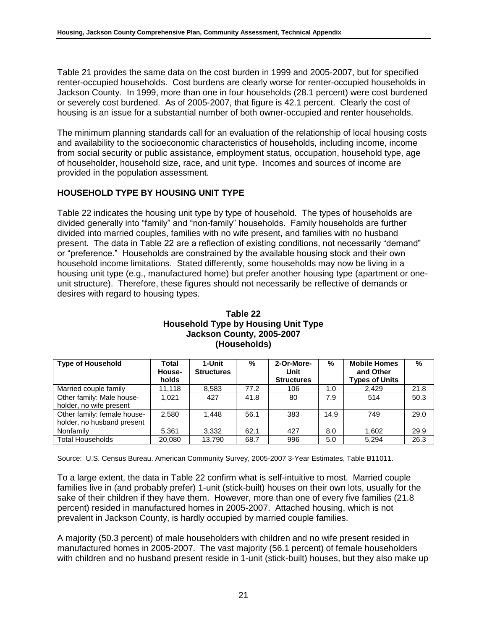Table 21 provides the same data on the cost burden in 1999 and 2005-2007, but for specified renter-occupied households. Cost burdens are clearly worse for renter-occupied households in Jackson County. In 1999, more than one in four households (28.1 percent) were cost burdened or severely cost burdened. As of 2005-2007, that figure is 42.1 percent. Clearly the cost of housing is an issue for a substantial number of both owner-occupied and renter households.

The minimum planning standards call for an evaluation of the relationship of local housing costs and availability to the socioeconomic characteristics of households, including income, income from social security or public assistance, employment status, occupation, household type, age of householder, household size, race, and unit type. Incomes and sources of income are provided in the population assessment.

## **HOUSEHOLD TYPE BY HOUSING UNIT TYPE**

Table 22 indicates the housing unit type by type of household. The types of households are divided generally into "family" and "non-family" households. Family households are further divided into married couples, families with no wife present, and families with no husband present. The data in Table 22 are a reflection of existing conditions, not necessarily "demand" or "preference." Households are constrained by the available housing stock and their own household income limitations. Stated differently, some households may now be living in a housing unit type (e.g., manufactured home) but prefer another housing type (apartment or oneunit structure). Therefore, these figures should not necessarily be reflective of demands or desires with regard to housing types.

| <b>Type of Household</b>    | Total<br>House-<br>holds | 1-Unit<br><b>Structures</b> | %    | 2-Or-More-<br>Unit<br><b>Structures</b> | %    | <b>Mobile Homes</b><br>and Other<br><b>Types of Units</b> | $\%$ |
|-----------------------------|--------------------------|-----------------------------|------|-----------------------------------------|------|-----------------------------------------------------------|------|
| Married couple family       | 11,118                   | 8,583                       | 77.2 | 106                                     | 1.0  | 2.429                                                     | 21.8 |
| Other family: Male house-   | 1.021                    | 427                         | 41.8 | 80                                      | 7.9  | 514                                                       | 50.3 |
| holder, no wife present     |                          |                             |      |                                         |      |                                                           |      |
| Other family: female house- | 2.580                    | 1.448                       | 56.1 | 383                                     | 14.9 | 749                                                       | 29.0 |
| holder, no husband present  |                          |                             |      |                                         |      |                                                           |      |
| Nonfamily                   | 5.361                    | 3,332                       | 62.1 | 427                                     | 8.0  | 1,602                                                     | 29.9 |
| <b>Total Households</b>     | 20.080                   | 13.790                      | 68.7 | 996                                     | 5.0  | 5.294                                                     | 26.3 |

#### **Table 22 Household Type by Housing Unit Type Jackson County, 2005-2007 (Households)**

Source: U.S. Census Bureau. American Community Survey, 2005-2007 3-Year Estimates, Table B11011.

To a large extent, the data in Table 22 confirm what is self-intuitive to most. Married couple families live in (and probably prefer) 1-unit (stick-built) houses on their own lots, usually for the sake of their children if they have them. However, more than one of every five families (21.8 percent) resided in manufactured homes in 2005-2007. Attached housing, which is not prevalent in Jackson County, is hardly occupied by married couple families.

A majority (50.3 percent) of male householders with children and no wife present resided in manufactured homes in 2005-2007. The vast majority (56.1 percent) of female householders with children and no husband present reside in 1-unit (stick-built) houses, but they also make up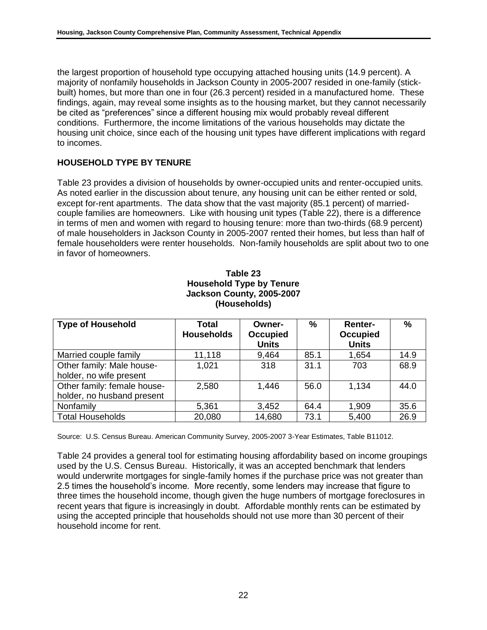the largest proportion of household type occupying attached housing units (14.9 percent). A majority of nonfamily households in Jackson County in 2005-2007 resided in one-family (stickbuilt) homes, but more than one in four (26.3 percent) resided in a manufactured home. These findings, again, may reveal some insights as to the housing market, but they cannot necessarily be cited as "preferences" since a different housing mix would probably reveal different conditions. Furthermore, the income limitations of the various households may dictate the housing unit choice, since each of the housing unit types have different implications with regard to incomes.

## **HOUSEHOLD TYPE BY TENURE**

Table 23 provides a division of households by owner-occupied units and renter-occupied units. As noted earlier in the discussion about tenure, any housing unit can be either rented or sold, except for-rent apartments. The data show that the vast majority (85.1 percent) of marriedcouple families are homeowners. Like with housing unit types (Table 22), there is a difference in terms of men and women with regard to housing tenure: more than two-thirds (68.9 percent) of male householders in Jackson County in 2005-2007 rented their homes, but less than half of female householders were renter households. Non-family households are split about two to one in favor of homeowners.

## **Table 23 Household Type by Tenure Jackson County, 2005-2007 (Households)**

| <b>Type of Household</b>                                  | Total<br><b>Households</b> | Owner-<br><b>Occupied</b><br><b>Units</b> | $\%$ | <b>Renter-</b><br>Occupied<br><b>Units</b> | $\%$ |
|-----------------------------------------------------------|----------------------------|-------------------------------------------|------|--------------------------------------------|------|
| Married couple family                                     | 11,118                     | 9,464                                     | 85.1 | 1,654                                      | 14.9 |
| Other family: Male house-<br>holder, no wife present      | 1,021                      | 318                                       | 31.1 | 703                                        | 68.9 |
| Other family: female house-<br>holder, no husband present | 2,580                      | 1,446                                     | 56.0 | 1,134                                      | 44.0 |
| Nonfamily                                                 | 5,361                      | 3,452                                     | 64.4 | 1,909                                      | 35.6 |
| <b>Total Households</b>                                   | 20,080                     | 14,680                                    | 73.1 | 5,400                                      | 26.9 |

Source: U.S. Census Bureau. American Community Survey, 2005-2007 3-Year Estimates, Table B11012.

Table 24 provides a general tool for estimating housing affordability based on income groupings used by the U.S. Census Bureau. Historically, it was an accepted benchmark that lenders would underwrite mortgages for single-family homes if the purchase price was not greater than 2.5 times the household's income. More recently, some lenders may increase that figure to three times the household income, though given the huge numbers of mortgage foreclosures in recent years that figure is increasingly in doubt. Affordable monthly rents can be estimated by using the accepted principle that households should not use more than 30 percent of their household income for rent.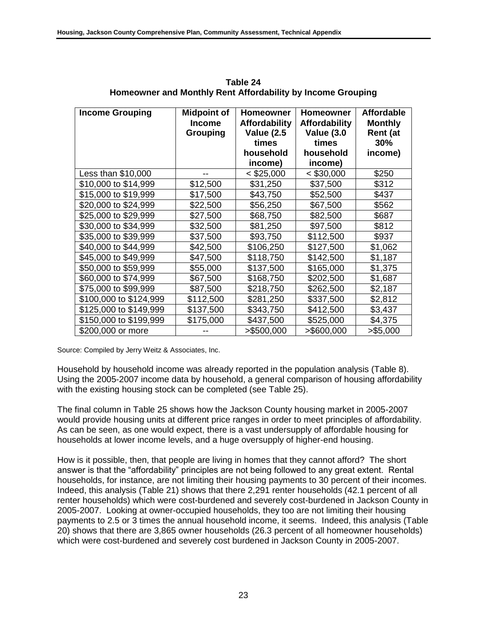| <b>Income Grouping</b> | <b>Midpoint of</b><br><b>Income</b> | <b>Homeowner</b><br><b>Affordability</b> | <b>Homeowner</b><br><b>Affordability</b> | <b>Affordable</b><br><b>Monthly</b> |
|------------------------|-------------------------------------|------------------------------------------|------------------------------------------|-------------------------------------|
|                        | <b>Grouping</b>                     | <b>Value (2.5</b>                        | <b>Value (3.0</b>                        | Rent (at                            |
|                        |                                     | times                                    | times                                    | 30%                                 |
|                        |                                     | household                                | household                                | income)                             |
|                        |                                     | income)                                  | income)                                  |                                     |
| Less than \$10,000     |                                     | $<$ \$25,000                             | $<$ \$30,000                             | \$250                               |
| \$10,000 to \$14,999   | \$12,500                            | \$31,250                                 | \$37,500                                 | \$312                               |
| \$15,000 to \$19,999   | \$17,500                            | \$43,750                                 | \$52,500                                 | \$437                               |
| \$20,000 to \$24,999   | \$22,500                            | \$56,250                                 | \$67,500                                 | \$562                               |
| \$25,000 to \$29,999   | \$27,500                            | \$68,750                                 | \$82,500                                 | \$687                               |
| \$30,000 to \$34,999   | \$32,500                            | \$81,250                                 | \$97,500                                 | \$812                               |
| \$35,000 to \$39,999   | \$37,500                            | \$93,750                                 | \$112,500                                | \$937                               |
| \$40,000 to \$44,999   | \$42,500                            | \$106,250                                | \$127,500                                | \$1,062                             |
| \$45,000 to \$49,999   | \$47,500                            | \$118,750                                | \$142,500                                | \$1,187                             |
| \$50,000 to \$59,999   | \$55,000                            | \$137,500                                | \$165,000                                | \$1,375                             |
| \$60,000 to \$74,999   | \$67,500                            | \$168,750                                | \$202,500                                | \$1,687                             |
| \$75,000 to \$99,999   | \$87,500                            | \$218,750                                | \$262,500                                | \$2,187                             |
| \$100,000 to \$124,999 | \$112,500                           | \$281,250                                | \$337,500                                | \$2,812                             |
| \$125,000 to \$149,999 | \$137,500                           | \$343,750                                | \$412,500                                | \$3,437                             |
| \$150,000 to \$199,999 | \$175,000                           | \$437,500                                | \$525,000                                | \$4,375                             |
| \$200,000 or more      |                                     | >\$500,000                               | >\$600,000                               | > \$5,000                           |

**Table 24 Homeowner and Monthly Rent Affordability by Income Grouping**

Source: Compiled by Jerry Weitz & Associates, Inc.

Household by household income was already reported in the population analysis (Table 8). Using the 2005-2007 income data by household, a general comparison of housing affordability with the existing housing stock can be completed (see Table 25).

The final column in Table 25 shows how the Jackson County housing market in 2005-2007 would provide housing units at different price ranges in order to meet principles of affordability. As can be seen, as one would expect, there is a vast undersupply of affordable housing for households at lower income levels, and a huge oversupply of higher-end housing.

How is it possible, then, that people are living in homes that they cannot afford? The short answer is that the "affordability" principles are not being followed to any great extent. Rental households, for instance, are not limiting their housing payments to 30 percent of their incomes. Indeed, this analysis (Table 21) shows that there 2,291 renter households (42.1 percent of all renter households) which were cost-burdened and severely cost-burdened in Jackson County in 2005-2007. Looking at owner-occupied households, they too are not limiting their housing payments to 2.5 or 3 times the annual household income, it seems. Indeed, this analysis (Table 20) shows that there are 3,865 owner households (26.3 percent of all homeowner households) which were cost-burdened and severely cost burdened in Jackson County in 2005-2007.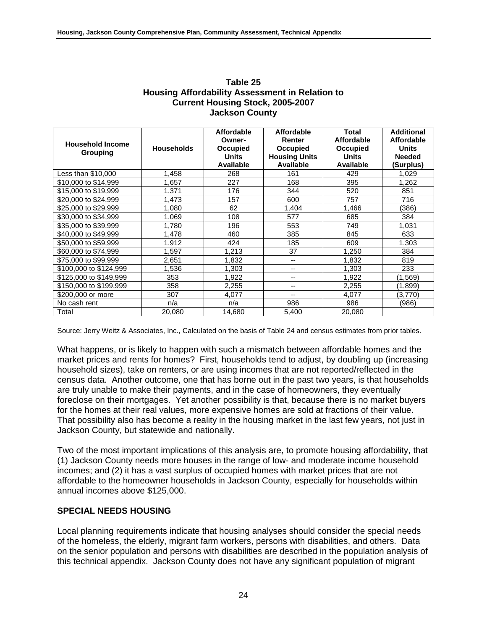| <b>Household Income</b><br>Grouping | <b>Households</b> | <b>Affordable</b><br>Owner-<br>Occupied<br><b>Units</b><br><b>Available</b> | <b>Affordable</b><br>Renter<br><b>Occupied</b><br><b>Housing Units</b><br><b>Available</b> | <b>Total</b><br><b>Affordable</b><br>Occupied<br><b>Units</b><br>Available | <b>Additional</b><br><b>Affordable</b><br><b>Units</b><br><b>Needed</b><br>(Surplus) |
|-------------------------------------|-------------------|-----------------------------------------------------------------------------|--------------------------------------------------------------------------------------------|----------------------------------------------------------------------------|--------------------------------------------------------------------------------------|
| Less than \$10,000                  | 1,458             | 268                                                                         | 161                                                                                        | 429                                                                        | 1,029                                                                                |
| \$10,000 to \$14,999                | 1,657             | 227                                                                         | 168                                                                                        | 395                                                                        | 1,262                                                                                |
| \$15,000 to \$19,999                | 1,371             | 176                                                                         | 344                                                                                        | 520                                                                        | 851                                                                                  |
| \$20,000 to \$24,999                | 1,473             | 157                                                                         | 600                                                                                        | 757                                                                        | 716                                                                                  |
| \$25,000 to \$29,999                | 1.080             | 62                                                                          | 1,404                                                                                      | 1,466                                                                      | (386)                                                                                |
| \$30,000 to \$34,999                | 1,069             | 108                                                                         | 577                                                                                        | 685                                                                        | 384                                                                                  |
| \$35,000 to \$39,999                | 1,780             | 196                                                                         | 553                                                                                        | 749                                                                        | 1,031                                                                                |
| \$40,000 to \$49,999                | 1,478             | 460                                                                         | 385                                                                                        | 845                                                                        | 633                                                                                  |
| \$50,000 to \$59,999                | 1,912             | 424                                                                         | 185                                                                                        | 609                                                                        | 1,303                                                                                |
| \$60,000 to \$74,999                | 1,597             | 1,213                                                                       | 37                                                                                         | 1,250                                                                      | 384                                                                                  |
| \$75,000 to \$99,999                | 2,651             | 1,832                                                                       | --                                                                                         | 1,832                                                                      | 819                                                                                  |
| \$100,000 to \$124,999              | 1,536             | 1,303                                                                       | --                                                                                         | 1,303                                                                      | 233                                                                                  |
| \$125,000 to \$149,999              | 353               | 1,922                                                                       | --                                                                                         | 1,922                                                                      | (1,569)                                                                              |
| \$150,000 to \$199,999              | 358               | 2,255                                                                       | --                                                                                         | 2,255                                                                      | (1,899)                                                                              |
| \$200,000 or more                   | 307               | 4,077                                                                       | --                                                                                         | 4,077                                                                      | (3,770)                                                                              |
| No cash rent                        | n/a               | n/a                                                                         | 986                                                                                        | 986                                                                        | (986)                                                                                |
| Total                               | 20,080            | 14,680                                                                      | 5,400                                                                                      | 20,080                                                                     |                                                                                      |

#### **Table 25 Housing Affordability Assessment in Relation to Current Housing Stock, 2005-2007 Jackson County**

Source: Jerry Weitz & Associates, Inc., Calculated on the basis of Table 24 and census estimates from prior tables.

What happens, or is likely to happen with such a mismatch between affordable homes and the market prices and rents for homes? First, households tend to adjust, by doubling up (increasing household sizes), take on renters, or are using incomes that are not reported/reflected in the census data. Another outcome, one that has borne out in the past two years, is that households are truly unable to make their payments, and in the case of homeowners, they eventually foreclose on their mortgages. Yet another possibility is that, because there is no market buyers for the homes at their real values, more expensive homes are sold at fractions of their value. That possibility also has become a reality in the housing market in the last few years, not just in Jackson County, but statewide and nationally.

Two of the most important implications of this analysis are, to promote housing affordability, that (1) Jackson County needs more houses in the range of low- and moderate income household incomes; and (2) it has a vast surplus of occupied homes with market prices that are not affordable to the homeowner households in Jackson County, especially for households within annual incomes above \$125,000.

## **SPECIAL NEEDS HOUSING**

Local planning requirements indicate that housing analyses should consider the special needs of the homeless, the elderly, migrant farm workers, persons with disabilities, and others. Data on the senior population and persons with disabilities are described in the population analysis of this technical appendix. Jackson County does not have any significant population of migrant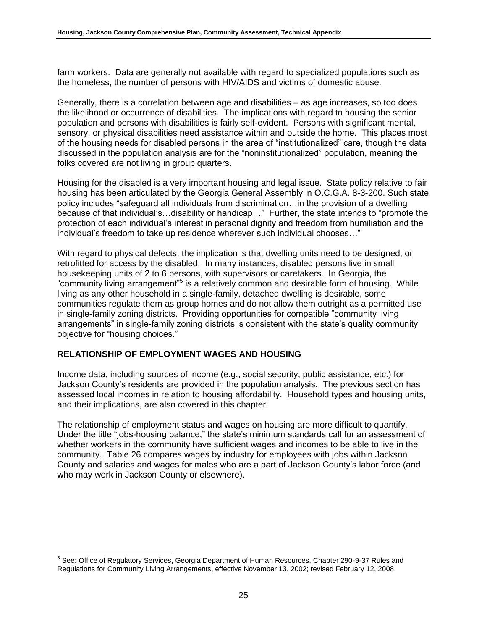farm workers. Data are generally not available with regard to specialized populations such as the homeless, the number of persons with HIV/AIDS and victims of domestic abuse.

Generally, there is a correlation between age and disabilities – as age increases, so too does the likelihood or occurrence of disabilities. The implications with regard to housing the senior population and persons with disabilities is fairly self-evident. Persons with significant mental, sensory, or physical disabilities need assistance within and outside the home. This places most of the housing needs for disabled persons in the area of "institutionalized" care, though the data discussed in the population analysis are for the "noninstitutionalized" population, meaning the folks covered are not living in group quarters.

Housing for the disabled is a very important housing and legal issue. State policy relative to fair housing has been articulated by the Georgia General Assembly in O.C.G.A. 8-3-200. Such state policy includes "safequard all individuals from discrimination... in the provision of a dwelling because of that individual's…disability or handicap…" Further, the state intends to "promote the protection of each individual's interest in personal dignity and freedom from humiliation and the individual's freedom to take up residence wherever such individual chooses..."

With regard to physical defects, the implication is that dwelling units need to be designed, or retrofitted for access by the disabled. In many instances, disabled persons live in small housekeeping units of 2 to 6 persons, with supervisors or caretakers. In Georgia, the "community living arrangement"<sup>5</sup> is a relatively common and desirable form of housing. While living as any other household in a single-family, detached dwelling is desirable, some communities regulate them as group homes and do not allow them outright as a permitted use in single-family zoning districts. Providing opportunities for compatible "community living" arrangements" in single-family zoning districts is consistent with the state's quality community objective for "housing choices."

## **RELATIONSHIP OF EMPLOYMENT WAGES AND HOUSING**

Income data, including sources of income (e.g., social security, public assistance, etc.) for Jackson County's residents are provided in the population analysis. The previous section has assessed local incomes in relation to housing affordability. Household types and housing units, and their implications, are also covered in this chapter.

The relationship of employment status and wages on housing are more difficult to quantify. Under the title "jobs-housing balance," the state's minimum standards call for an assessment of whether workers in the community have sufficient wages and incomes to be able to live in the community. Table 26 compares wages by industry for employees with jobs within Jackson County and salaries and wages for males who are a part of Jackson County's labor force (and who may work in Jackson County or elsewhere).

 5 See: Office of Regulatory Services, Georgia Department of Human Resources, Chapter 290-9-37 Rules and Regulations for Community Living Arrangements, effective November 13, 2002; revised February 12, 2008.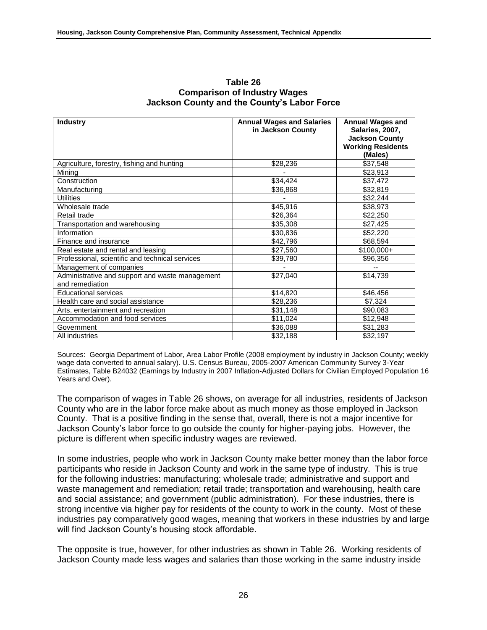| <b>Industry</b>                                 | <b>Annual Wages and Salaries</b> | <b>Annual Wages and</b>  |
|-------------------------------------------------|----------------------------------|--------------------------|
|                                                 | in Jackson County                | Salaries, 2007,          |
|                                                 |                                  | <b>Jackson County</b>    |
|                                                 |                                  | <b>Working Residents</b> |
|                                                 |                                  | (Males)                  |
| Agriculture, forestry, fishing and hunting      | \$28,236                         | \$37,548                 |
| Mining                                          |                                  | \$23,913                 |
| Construction                                    | \$34,424                         | \$37,472                 |
| Manufacturing                                   | \$36,868                         | \$32,819                 |
| <b>Utilities</b>                                |                                  | \$32,244                 |
| Wholesale trade                                 | \$45,916                         | \$38,973                 |
| Retail trade                                    | \$26,364                         | \$22,250                 |
| Transportation and warehousing                  | \$35,308                         | \$27,425                 |
| Information                                     | \$30,836                         | \$52,220                 |
| Finance and insurance                           | \$42,796                         | \$68,594                 |
| Real estate and rental and leasing              | \$27,560                         | $$100,000+$              |
| Professional, scientific and technical services | \$39,780                         | \$96,356                 |
| Management of companies                         |                                  |                          |
| Administrative and support and waste management | \$27,040                         | \$14,739                 |
| and remediation                                 |                                  |                          |
| <b>Educational services</b>                     | \$14,820                         | \$46,456                 |
| Health care and social assistance               | \$28,236                         | \$7,324                  |
| Arts, entertainment and recreation              | \$31,148                         | \$90,083                 |
| Accommodation and food services                 | \$11,024                         | \$12,948                 |
| Government                                      | \$36,088                         | \$31,283                 |
| All industries                                  | \$32,188                         | \$32,197                 |

#### **Table 26 Comparison of Industry Wages Jackson County and the County's Labor Force**

Sources: Georgia Department of Labor, Area Labor Profile (2008 employment by industry in Jackson County; weekly wage data converted to annual salary). U.S. Census Bureau, 2005-2007 American Community Survey 3-Year Estimates, Table B24032 (Earnings by Industry in 2007 Inflation-Adjusted Dollars for Civilian Employed Population 16 Years and Over).

The comparison of wages in Table 26 shows, on average for all industries, residents of Jackson County who are in the labor force make about as much money as those employed in Jackson County. That is a positive finding in the sense that, overall, there is not a major incentive for Jackson County's labor force to go outside the county for higher-paying jobs. However, the picture is different when specific industry wages are reviewed.

In some industries, people who work in Jackson County make better money than the labor force participants who reside in Jackson County and work in the same type of industry. This is true for the following industries: manufacturing; wholesale trade; administrative and support and waste management and remediation; retail trade; transportation and warehousing, health care and social assistance; and government (public administration). For these industries, there is strong incentive via higher pay for residents of the county to work in the county. Most of these industries pay comparatively good wages, meaning that workers in these industries by and large will find Jackson County's housing stock affordable.

The opposite is true, however, for other industries as shown in Table 26. Working residents of Jackson County made less wages and salaries than those working in the same industry inside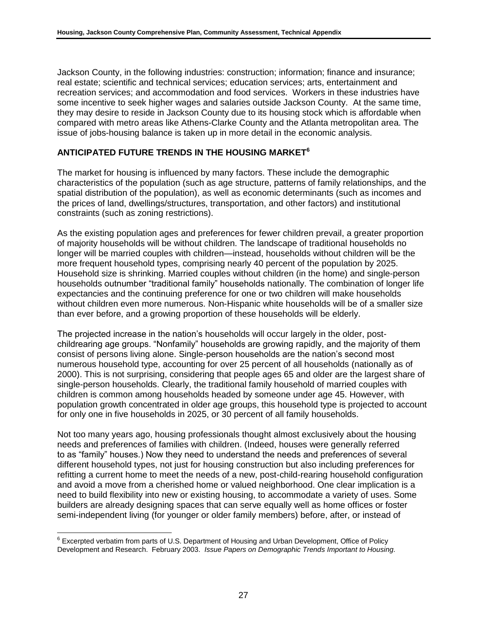Jackson County, in the following industries: construction; information; finance and insurance; real estate; scientific and technical services; education services; arts, entertainment and recreation services; and accommodation and food services. Workers in these industries have some incentive to seek higher wages and salaries outside Jackson County. At the same time, they may desire to reside in Jackson County due to its housing stock which is affordable when compared with metro areas like Athens-Clarke County and the Atlanta metropolitan area. The issue of jobs-housing balance is taken up in more detail in the economic analysis.

## **ANTICIPATED FUTURE TRENDS IN THE HOUSING MARKET<sup>6</sup>**

The market for housing is influenced by many factors. These include the demographic characteristics of the population (such as age structure, patterns of family relationships, and the spatial distribution of the population), as well as economic determinants (such as incomes and the prices of land, dwellings/structures, transportation, and other factors) and institutional constraints (such as zoning restrictions).

As the existing population ages and preferences for fewer children prevail, a greater proportion of majority households will be without children. The landscape of traditional households no longer will be married couples with children—instead, households without children will be the more frequent household types, comprising nearly 40 percent of the population by 2025. Household size is shrinking. Married couples without children (in the home) and single-person households outnumber "traditional family" households nationally. The combination of longer life expectancies and the continuing preference for one or two children will make households without children even more numerous. Non-Hispanic white households will be of a smaller size than ever before, and a growing proportion of these households will be elderly.

The projected increase in the nation's households will occur largely in the older, postchildrearing age groups. "Nonfamily" households are growing rapidly, and the majority of them consist of persons living alone. Single-person households are the nation's second most numerous household type, accounting for over 25 percent of all households (nationally as of 2000). This is not surprising, considering that people ages 65 and older are the largest share of single-person households. Clearly, the traditional family household of married couples with children is common among households headed by someone under age 45. However, with population growth concentrated in older age groups, this household type is projected to account for only one in five households in 2025, or 30 percent of all family households.

Not too many years ago, housing professionals thought almost exclusively about the housing needs and preferences of families with children. (Indeed, houses were generally referred to as "family" houses.) Now they need to understand the needs and preferences of several different household types, not just for housing construction but also including preferences for refitting a current home to meet the needs of a new, post-child-rearing household configuration and avoid a move from a cherished home or valued neighborhood. One clear implication is a need to build flexibility into new or existing housing, to accommodate a variety of uses. Some builders are already designing spaces that can serve equally well as home offices or foster semi-independent living (for younger or older family members) before, after, or instead of

 $\overline{\phantom{a}}$ 

 $6$  Excerpted verbatim from parts of U.S. Department of Housing and Urban Development, Office of Policy Development and Research. February 2003. *Issue Papers on Demographic Trends Important to Housing*.